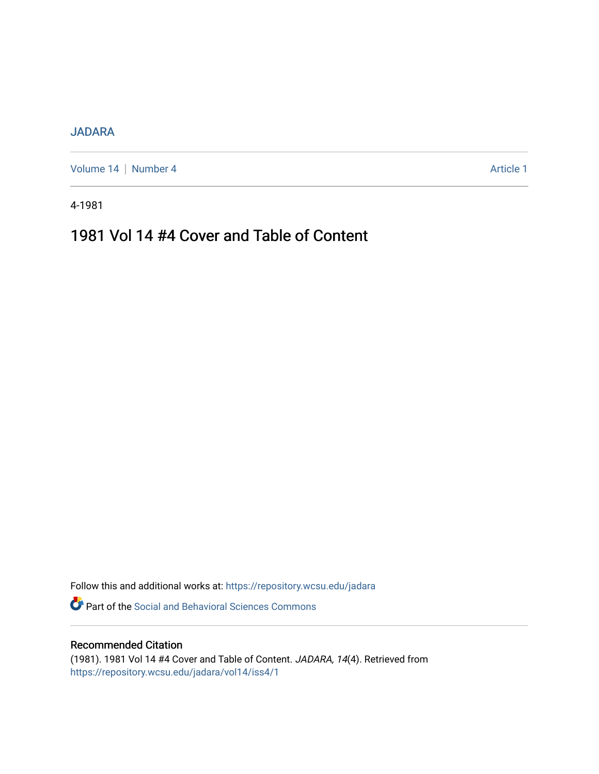### [JADARA](https://repository.wcsu.edu/jadara)

[Volume 14](https://repository.wcsu.edu/jadara/vol14) | [Number 4](https://repository.wcsu.edu/jadara/vol14/iss4) Article 1

4-1981

# 1981 Vol 14 #4 Cover and Table of Content

Follow this and additional works at: [https://repository.wcsu.edu/jadara](https://repository.wcsu.edu/jadara?utm_source=repository.wcsu.edu%2Fjadara%2Fvol14%2Fiss4%2F1&utm_medium=PDF&utm_campaign=PDFCoverPages)

Part of the [Social and Behavioral Sciences Commons](http://network.bepress.com/hgg/discipline/316?utm_source=repository.wcsu.edu%2Fjadara%2Fvol14%2Fiss4%2F1&utm_medium=PDF&utm_campaign=PDFCoverPages) 

### Recommended Citation

(1981). 1981 Vol 14 #4 Cover and Table of Content. JADARA, 14(4). Retrieved from [https://repository.wcsu.edu/jadara/vol14/iss4/1](https://repository.wcsu.edu/jadara/vol14/iss4/1?utm_source=repository.wcsu.edu%2Fjadara%2Fvol14%2Fiss4%2F1&utm_medium=PDF&utm_campaign=PDFCoverPages)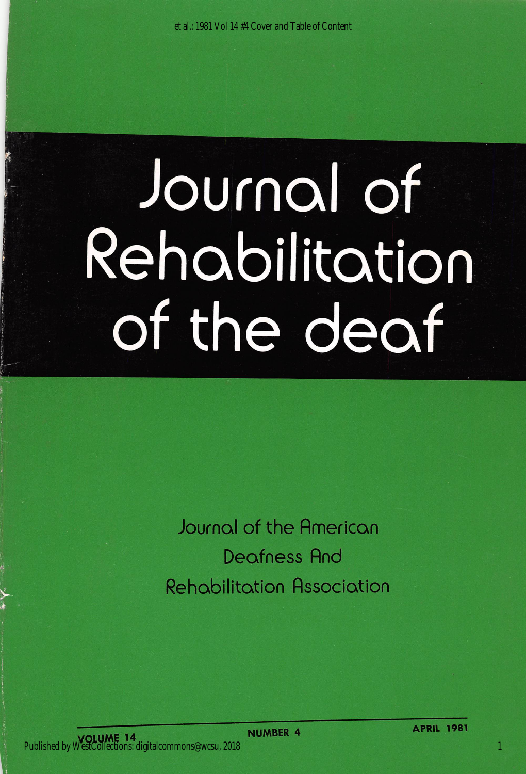et al.: 1981 Vol 14 #4 Cover and Table of Content

# Journal of Rehabilitation of the deaf

Journal of the Rmerican Deafness Rnd Rehabilitation Rssociation

1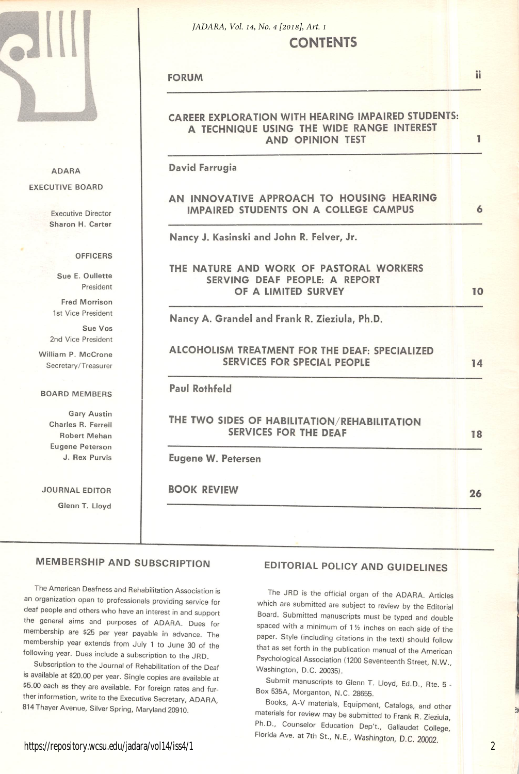

ADARA

#### **CONTENTS** *JADARA, Vol. 14, No. 4 [2018], Art. 1*

FORUM

ii

#### CAREER EXPLORATION WITH HEARING IMPAIRED STUDENTS: A TECHNIQUE USING THE WIDE RANGE INTEREST AND OPINION TEST 1 David Farrugia EXECUTIVE BOARD AN INNOVATIVE APPROACH TO HOUSING HEARING IMPAIRED STUDENTS ON A COLLEGE CAMPUS 6 Executive Director Sharon H. Carter Nancy J. Kasinski and John R. Felver, Jr. **OFFICERS** THE NATURE AND WORK OF PASTORAL WORKERS Sue E. Oullette SERVING DEAF PEOPLE: A REPORT President OF A LIMITED SURVEY 10 Fred Morrison 1st Vice President Nancy A. Grandel and Frank R. Zieziula, Ph.D. Sue Vos 2nd Vice President ALCOHOLISM TREATMENT FOR THE DEAF: SPECIALIZED William P. McCrone SERVICES FOR SPECIAL PEOPLE 14 Secretary/Treasurer Paul Rothfeld BOARD MEMBERS Gary Austin THE TWO SIDES OF HABILITATION/REHABILITATION Charles R. Ferrell SERVICES FOR THE DEAF 18 Robert Mehan Eugene Peterson J. Rex Purvis Eugene W. Petersen BOOK REVIEW JOURNAL EDITOR 26 Glenn T. Lloyd

#### MEMBERSHIP AND SUBSCRIPTION

The American Deafness and Rehabilitation Association is an organization open to professionals providing service for deaf people and others who have an interest in and support the general aims and purposes of ADARA. Dues for membership are \$25 per year payable in advance. The membership year extends from July 1 to June 30 of the following year. Dues include a subscription to the JRD.

Subscription to the Journal of Rehabilitation of the Deaf is available at \$20.00 per year. Single copies are available at \$5.00 each as they are available. For foreign rates and fur ther information, write to the Executive Secretary, ADARA, 814Thayer Avenue, Silver Spring, Maryland 20910.

## EDITORIAL POLICY AND GUIDELINES

The JRD is the official organ of the ADARA. Articles which are submitted are subject to reyiew by the Editorial Board. Submitted manuscripts must be typed and double spaced with a minimum of  $1\frac{1}{2}$  inches on each side of the paper. Style (including citations in the text) should follow that as set forth in the publication manual of the American Psychological Association (1200 Seventeenth Street, N.W., Washington, D.C. 20035).

Submit manuscripts to Glenn T. Lloyd, Ed.D., Rte. 5 - Box 535A, Morganton, N.C. 28655.

Books, A-V materials. Equipment, Catalogs, and other materials for review may be submitted to Frank R. Zieziula, Ph.D., Counselor Education Dep't., Gallaudet College, Florida Ave. at 7th St., N.E., Washington, D.C. 20002.